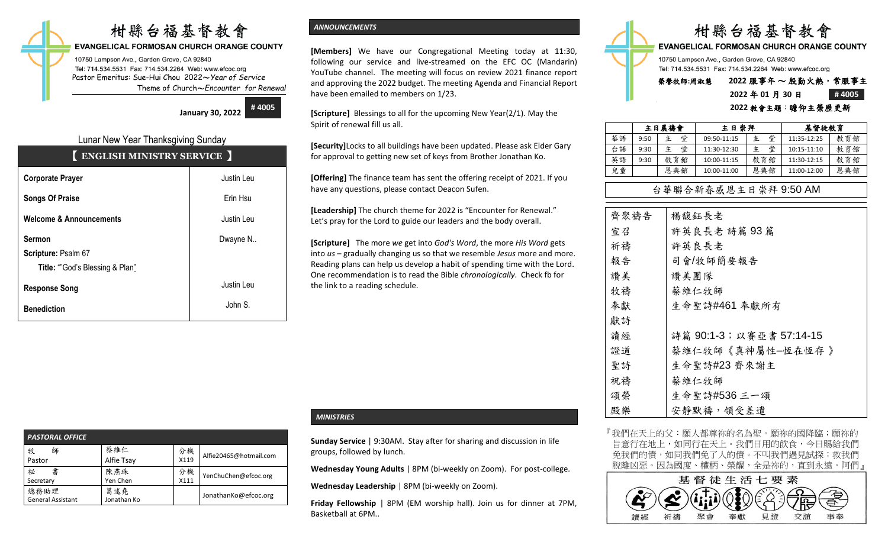# 柑縣台福基督教會

## **EVANGELICAL FORMOSAN CHURCH ORANGE COUNTY**

10750 Lampson Ave., Garden Grove, CA 92840 Tel: 714.534.5531 Fax: 714.534.2264 Web: www.efcoc.org Pastor Emeritus: Sue-Hui Chou 2022〜*Year of Service* Theme of Church〜*Encounter for Renewal*

> **January 30, 2022 # 4005**

## Lunar New Year Thanksgiving Sunday

| <b>ENGLISH MINISTRY SERVICE</b> |
|---------------------------------|
|---------------------------------|

| <b>Corporate Prayer</b>            | Justin Leu |
|------------------------------------|------------|
| <b>Songs Of Praise</b>             | Erin Hsu   |
| <b>Welcome &amp; Announcements</b> | Justin Leu |
| <b>Sermon</b>                      | Dwayne N   |
| Scripture: Psalm 67                |            |
| Title: ""God's Blessing & Plan"    |            |
| <b>Response Song</b>               | Justin Leu |
| <b>Benediction</b>                 | John S.    |

## *ANNOUNCEMENTS*

**[Members]** We have our Congregational Meeting today at 11:30, following our service and live-streamed on the EFC OC (Mandarin) YouTube channel. The meeting will focus on review 2021 finance report and approving the 2022 budget. The meeting Agenda and Financial Report have been emailed to members on 1/23.

**[Scripture]** Blessings to all for the upcoming New Year(2/1). May the Spirit of renewal fill us all.

**[Security]**Locks to all buildings have been updated. Please ask Elder Gary for approval to getting new set of keys from Brother Jonathan Ko.

**[Offering]** The finance team has sent the offering receipt of 2021. If you have any questions, please contact Deacon Sufen.

**[Leadership]** The church theme for 2022 is "Encounter for Renewal." Let's pray for the Lord to guide our leaders and the body overall.

**[Scripture]** The more *we* get into *God's Word*, the more *His Word* gets into *us* – gradually changing us so that we resemble *Jesus* more and more. Reading plans can help us develop a habit of spending time with the Lord. One recommendation is to read the Bible *chronologically*. Check fb for the link to a reading schedule.



### **2022** 教會主題:瞻仰主榮歷更新

|    |      | 主日晨禱會  | 主日崇拜        |     | 基督徒教育       |     |
|----|------|--------|-------------|-----|-------------|-----|
| 華語 | 9:50 | 堂<br>主 | 09:50-11:15 | 堂   | 11:35-12:25 | 教育館 |
| 台語 | 9:30 | 堂<br>主 | 11:30-12:30 | 堂   | 10:15-11:10 | 教育館 |
| 英語 | 9:30 | 教育館    | 10:00-11:15 | 教育館 | 11:30-12:15 | 教育館 |
| 兒童 |      | 恩典館    | 10:00-11:00 | 恩典館 | 11:00-12:00 | 恩典館 |

## 台華聯合新春感恩主日崇拜 9:50 AM

| 齊聚禱告 | 楊馥鈺長老                   |
|------|-------------------------|
| 宣召   | 許英良長老 詩篇 93篇            |
| 祈禱   | 許英良長老                   |
| 報告   | 司會/牧師簡要報告               |
| 讚美   | 讚美團隊                    |
| 牧禱   | 蔡維仁牧師                   |
| 奉獻   | 生命聖詩#461 奉獻所有           |
| 獻詩   |                         |
| 讀經   | 詩篇 90:1-3;以賽亞書 57:14-15 |
| 證道   | 蔡維仁牧師《真神屬性-恆在恆存 》       |
| 聖詩   | 生命聖詩#23 齊來謝主            |
| 祝禱   | 蔡維仁牧師                   |
| 頌榮   | 生命聖詩#536 三一頌            |
| 殿樂   | 安靜默禱,領受差遣               |

『我們在天上的父:願人都尊祢的名為聖。願祢的國降臨;願祢的 旨意行在地上,如同行在天上。我們日用的飲食,今日賜給我們 免我們的債,如同我們免了人的債。不叫我們遇見試探;救我們 脫離凶惡。因為國度、權柄、榮耀,全是祢的,直到永遠。阿們』



| <b>PASTORAL OFFICE</b>           |                    |            |                        |
|----------------------------------|--------------------|------------|------------------------|
| 牧<br>師<br>Pastor                 | 蔡維仁<br>Alfie Tsay  | 分機<br>X119 | Alfie20465@hotmail.com |
| 祕<br>書<br>Secretary              | 陳燕珠<br>Yen Chen    | 分機<br>X111 | YenChuChen@efcoc.org   |
| 總務助理<br><b>General Assistant</b> | 葛述堯<br>Jonathan Ko |            | JonathanKo@efcoc.org   |

## *MINISTRIES*

**Sunday Service** | 9:30AM. Stay after for sharing and discussion in life groups, followed by lunch.

**Wednesday Young Adults** | 8PM (bi-weekly on Zoom). For post-college.

**Wednesday Leadership** | 8PM (bi-weekly on Zoom).

**Friday Fellowship** | 8PM (EM worship hall). Join us for dinner at 7PM, Basketball at 6PM..